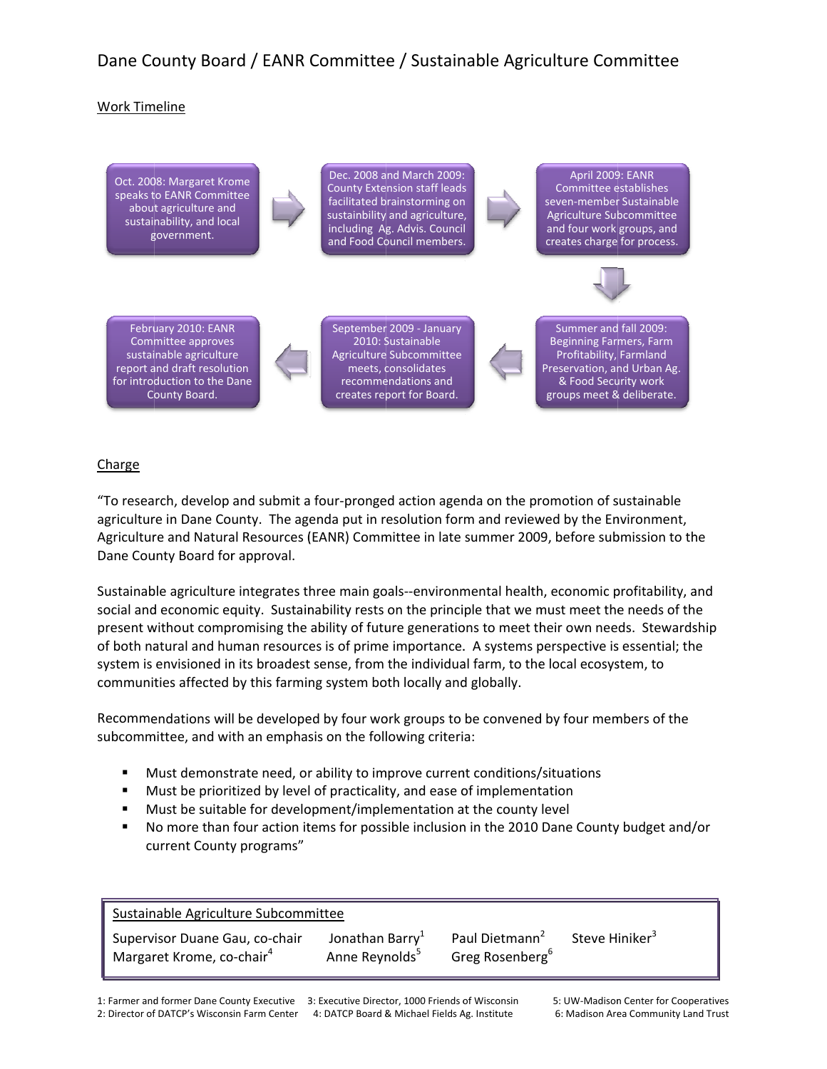# Dane County Board / EANR Committee / Sustainable Agriculture Committee

### **Work Timeline**



## Charge

"To research, develop and submit a four-pronged action agenda on the promotion of sustainable agriculture in Dane County. The agenda put in resolution form and reviewed by the Environment, Agriculture and Natural Resources (EANR) Committee in late summer 2009, before submission to the Dane County Board for approval.

Sustainable agriculture integrates three main goals--environmental health, economic profitability, and social and economic equity. Sustainability rests on the principle that we must meet the needs of the present without compromising the ability of future generations to meet their own needs. Stewardship of both natural and human resources is of prime importance. A systems perspective is essential; the system is envisioned in its broadest sense, from the individual farm, to the local ecosystem, to communities affected by this farming system both locally and globally.

Recommendations will be developed by four work groups to be convened by four members of the subcommittee, and with an emphasis on the following criteria:

- Must demonstrate need, or ability to improve current conditions/situations  $\blacksquare$
- Must be prioritized by level of practicality, and ease of implementation  $\blacksquare$
- $\blacksquare$ Must be suitable for development/implementation at the county level
- No more than four action items for possible inclusion in the 2010 Dane County budget and/or current County programs"

| Sustainable Agriculture Subcommittee  |                             |                             |                            |
|---------------------------------------|-----------------------------|-----------------------------|----------------------------|
| Supervisor Duane Gau, co-chair        | Jonathan Barry <sup>1</sup> | Paul Dietmann <sup>2</sup>  | Steve Hiniker <sup>3</sup> |
| Margaret Krome, co-chair <sup>4</sup> | Anne Reynolds <sup>5</sup>  | Greg Rosenberg <sup>6</sup> |                            |

1: Farmer and former Dane County Executive 3: Executive Director, 1000 Friends of Wisconsin 2: Director of DATCP's Wisconsin Farm Center 4: DATCP Board & Michael Fields Ag. Institute

5: UW-Madison Center for Cooperatives 6: Madison Area Community Land Trust